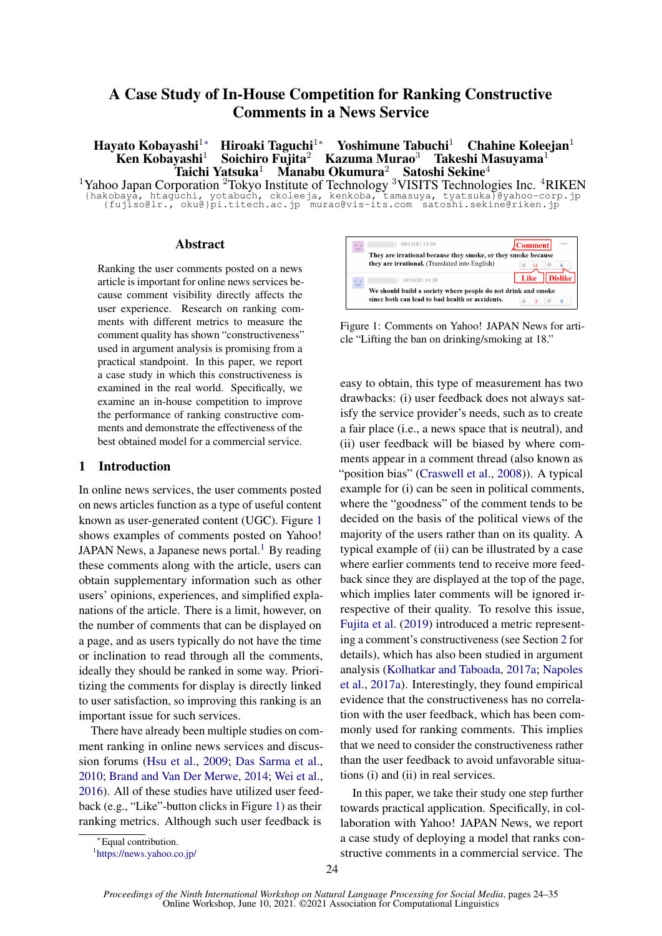# A Case Study of In-House Competition for Ranking Constructive Comments in a News Service

Hayato Kobayashi<sup>1</sup><sup>∗</sup> Hiroaki Taguchi<sup>1</sup><sup>∗</sup> Yoshimune Tabuchi<sup>1</sup> Chahine Koleejan<sup>1</sup> Ken Kobayashi<sup>1</sup> Soichiro Fujita<sup>2</sup> Kazuma Murao<sup>3</sup> Takeshi Masuyama<sup>1</sup> yashi<sup>1</sup> Soichiro Fujita<sup>2</sup> Kazuma Murao<sup>3</sup> Takeshi Masuyama<sup>1</sup><br>Taichi Yatsuka<sup>1</sup> Manabu Okumura<sup>2</sup> Satoshi Sekine<sup>4</sup> Taichi Yatsuka<sup>1</sup> Manabu Okumura<sup>2</sup> Satoshi Sekine<sup>4</sup>

<sup>1</sup>Yahoo Japan Corporation <sup>2</sup>Tokyo Institute of Technology <sup>3</sup>VISITS Technologies Inc. <sup>4</sup>RIKEN {hakobaya, htaguchi, yotabuch, ckoleeja, kenkoba, tamasuya, tyatsuka}@yahoo-corp.jp {fujiso@lr., oku@}pi.titech.ac.jp murao@vis-its.com satoshi.sekine@riken.jp

#### Abstract

Ranking the user comments posted on a news article is important for online news services because comment visibility directly affects the user experience. Research on ranking comments with different metrics to measure the comment quality has shown "constructiveness" used in argument analysis is promising from a practical standpoint. In this paper, we report a case study in which this constructiveness is examined in the real world. Specifically, we examine an in-house competition to improve the performance of ranking constructive comments and demonstrate the effectiveness of the best obtained model for a commercial service.

#### 1 Introduction

In online news services, the user comments posted on news articles function as a type of useful content known as user-generated content (UGC). Figure [1](#page-0-0) shows examples of comments posted on Yahoo! JAPAN News, a Japanese news portal.<sup>[1](#page-0-1)</sup> By reading these comments along with the article, users can obtain supplementary information such as other users' opinions, experiences, and simplified explanations of the article. There is a limit, however, on the number of comments that can be displayed on a page, and as users typically do not have the time or inclination to read through all the comments, ideally they should be ranked in some way. Prioritizing the comments for display is directly linked to user satisfaction, so improving this ranking is an important issue for such services.

There have already been multiple studies on comment ranking in online news services and discussion forums [\(Hsu et al.,](#page-9-0) [2009;](#page-9-0) [Das Sarma et al.,](#page-8-0) [2010;](#page-8-0) [Brand and Van Der Merwe,](#page-8-1) [2014;](#page-8-1) [Wei et al.,](#page-10-0) [2016\)](#page-10-0). All of these studies have utilized user feedback (e.g., "Like"-button clicks in Figure [1\)](#page-0-0) as their ranking metrics. Although such user feedback is

<span id="page-0-0"></span>

Figure 1: Comments on Yahoo! JAPAN News for article "Lifting the ban on drinking/smoking at 18."

easy to obtain, this type of measurement has two drawbacks: (i) user feedback does not always satisfy the service provider's needs, such as to create a fair place (i.e., a news space that is neutral), and (ii) user feedback will be biased by where comments appear in a comment thread (also known as "position bias" [\(Craswell et al.,](#page-8-2) [2008\)](#page-8-2)). A typical example for (i) can be seen in political comments, where the "goodness" of the comment tends to be decided on the basis of the political views of the majority of the users rather than on its quality. A typical example of (ii) can be illustrated by a case where earlier comments tend to receive more feedback since they are displayed at the top of the page, which implies later comments will be ignored irrespective of their quality. To resolve this issue, [Fujita et al.](#page-9-1) [\(2019\)](#page-9-1) introduced a metric representing a comment's constructiveness (see Section [2](#page-1-0) for details), which has also been studied in argument analysis [\(Kolhatkar and Taboada,](#page-9-2) [2017a;](#page-9-2) [Napoles](#page-10-1) [et al.,](#page-10-1) [2017a\)](#page-10-1). Interestingly, they found empirical evidence that the constructiveness has no correlation with the user feedback, which has been commonly used for ranking comments. This implies that we need to consider the constructiveness rather than the user feedback to avoid unfavorable situations (i) and (ii) in real services.

In this paper, we take their study one step further towards practical application. Specifically, in collaboration with Yahoo! JAPAN News, we report a case study of deploying a model that ranks constructive comments in a commercial service. The

<sup>∗</sup>Equal contribution.

<span id="page-0-1"></span><sup>1</sup> <https://news.yahoo.co.jp/>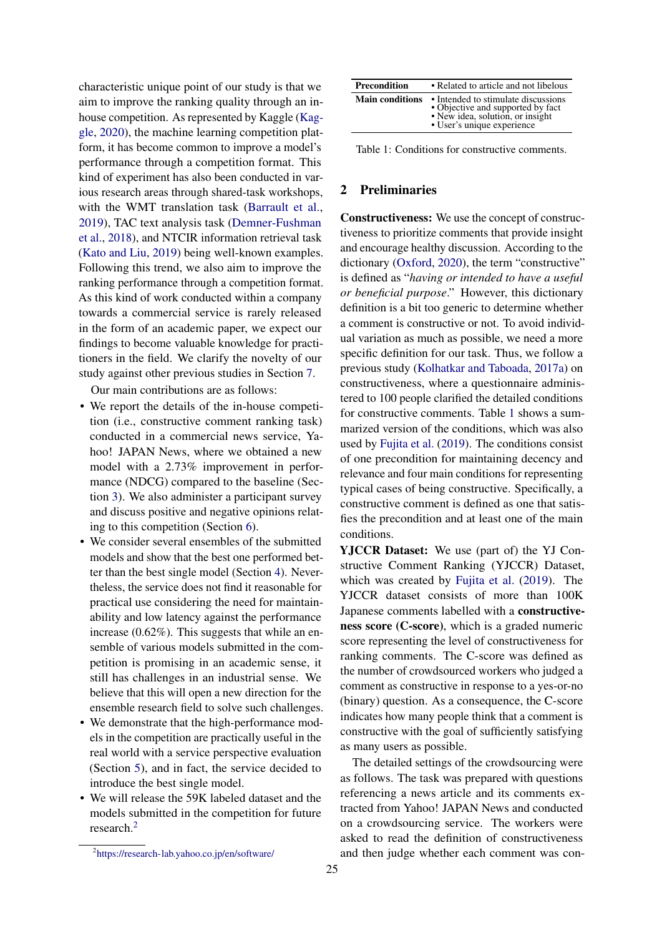characteristic unique point of our study is that we aim to improve the ranking quality through an inhouse competition. As represented by Kaggle [\(Kag](#page-9-3)[gle,](#page-9-3) [2020\)](#page-9-3), the machine learning competition platform, it has become common to improve a model's performance through a competition format. This kind of experiment has also been conducted in various research areas through shared-task workshops, with the WMT translation task [\(Barrault et al.,](#page-8-3) [2019\)](#page-8-3), TAC text analysis task [\(Demner-Fushman](#page-8-4) [et al.,](#page-8-4) [2018\)](#page-8-4), and NTCIR information retrieval task [\(Kato and Liu,](#page-9-4) [2019\)](#page-9-4) being well-known examples. Following this trend, we also aim to improve the ranking performance through a competition format. As this kind of work conducted within a company towards a commercial service is rarely released in the form of an academic paper, we expect our findings to become valuable knowledge for practitioners in the field. We clarify the novelty of our study against other previous studies in Section [7.](#page-7-0)

Our main contributions are as follows:

- We report the details of the in-house competition (i.e., constructive comment ranking task) conducted in a commercial news service, Yahoo! JAPAN News, where we obtained a new model with a 2.73% improvement in performance (NDCG) compared to the baseline (Section [3\)](#page-2-0). We also administer a participant survey and discuss positive and negative opinions relating to this competition (Section [6\)](#page-6-0).
- We consider several ensembles of the submitted models and show that the best one performed better than the best single model (Section [4\)](#page-4-0). Nevertheless, the service does not find it reasonable for practical use considering the need for maintainability and low latency against the performance increase (0.62%). This suggests that while an ensemble of various models submitted in the competition is promising in an academic sense, it still has challenges in an industrial sense. We believe that this will open a new direction for the ensemble research field to solve such challenges.
- We demonstrate that the high-performance models in the competition are practically useful in the real world with a service perspective evaluation (Section [5\)](#page-5-0), and in fact, the service decided to introduce the best single model.
- We will release the 59K labeled dataset and the models submitted in the competition for future research.[2](#page-1-1)

<span id="page-1-2"></span>

| <b>Precondition</b>    | • Related to article and not libelous                                                                                                      |
|------------------------|--------------------------------------------------------------------------------------------------------------------------------------------|
| <b>Main conditions</b> | • Intended to stimulate discussions<br>• Objective and supported by fact<br>• New idea, solution, or insight<br>• User's unique experience |

Table 1: Conditions for constructive comments.

## <span id="page-1-0"></span>2 Preliminaries

Constructiveness: We use the concept of constructiveness to prioritize comments that provide insight and encourage healthy discussion. According to the dictionary [\(Oxford,](#page-10-2) [2020\)](#page-10-2), the term "constructive" is defined as "*having or intended to have a useful or beneficial purpose*." However, this dictionary definition is a bit too generic to determine whether a comment is constructive or not. To avoid individual variation as much as possible, we need a more specific definition for our task. Thus, we follow a previous study [\(Kolhatkar and Taboada,](#page-9-2) [2017a\)](#page-9-2) on constructiveness, where a questionnaire administered to 100 people clarified the detailed conditions for constructive comments. Table [1](#page-1-2) shows a summarized version of the conditions, which was also used by [Fujita et al.](#page-9-1) [\(2019\)](#page-9-1). The conditions consist of one precondition for maintaining decency and relevance and four main conditions for representing typical cases of being constructive. Specifically, a constructive comment is defined as one that satisfies the precondition and at least one of the main conditions.

YJCCR Dataset: We use (part of) the YJ Constructive Comment Ranking (YJCCR) Dataset, which was created by [Fujita et al.](#page-9-1) [\(2019\)](#page-9-1). The YJCCR dataset consists of more than 100K Japanese comments labelled with a constructiveness score (C-score), which is a graded numeric score representing the level of constructiveness for ranking comments. The C-score was defined as the number of crowdsourced workers who judged a comment as constructive in response to a yes-or-no (binary) question. As a consequence, the C-score indicates how many people think that a comment is constructive with the goal of sufficiently satisfying as many users as possible.

The detailed settings of the crowdsourcing were as follows. The task was prepared with questions referencing a news article and its comments extracted from Yahoo! JAPAN News and conducted on a crowdsourcing service. The workers were asked to read the definition of constructiveness and then judge whether each comment was con-

<span id="page-1-1"></span><sup>&</sup>lt;sup>2</sup><https://research-lab.yahoo.co.jp/en/software/>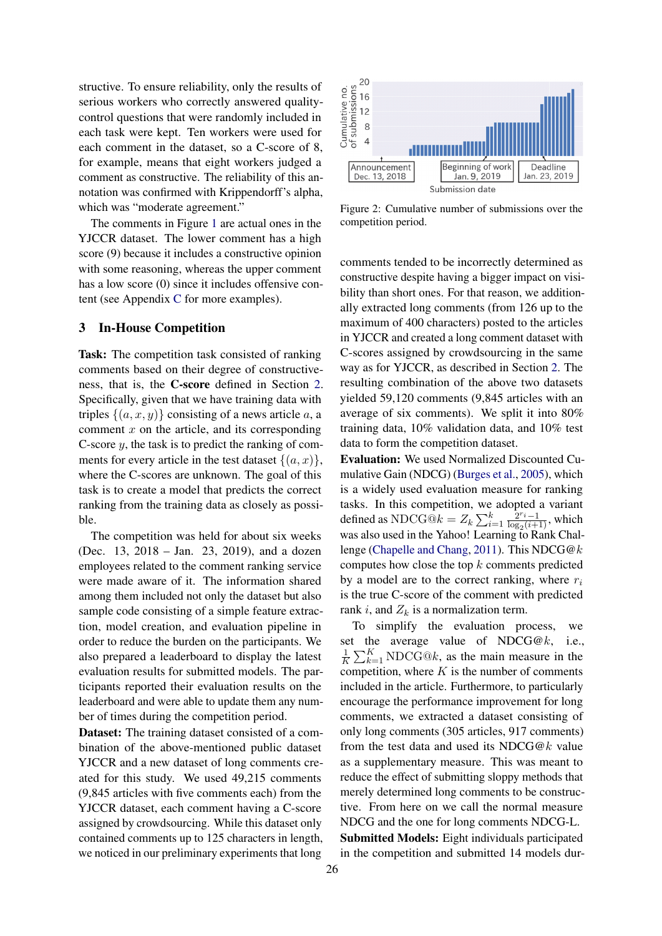structive. To ensure reliability, only the results of serious workers who correctly answered qualitycontrol questions that were randomly included in each task were kept. Ten workers were used for each comment in the dataset, so a C-score of 8, for example, means that eight workers judged a comment as constructive. The reliability of this annotation was confirmed with Krippendorff's alpha, which was "moderate agreement."

The comments in Figure [1](#page-0-0) are actual ones in the YJCCR dataset. The lower comment has a high score (9) because it includes a constructive opinion with some reasoning, whereas the upper comment has a low score (0) since it includes offensive content (see Appendix [C](#page-11-0) for more examples).

### <span id="page-2-0"></span>3 In-House Competition

Task: The competition task consisted of ranking comments based on their degree of constructiveness, that is, the C-score defined in Section [2.](#page-1-0) Specifically, given that we have training data with triples  $\{(a, x, y)\}\)$  consisting of a news article a, a comment  $x$  on the article, and its corresponding C-score  $y$ , the task is to predict the ranking of comments for every article in the test dataset  $\{(a, x)\}\,$ , where the C-scores are unknown. The goal of this task is to create a model that predicts the correct ranking from the training data as closely as possible.

The competition was held for about six weeks (Dec. 13, 2018 – Jan. 23, 2019), and a dozen employees related to the comment ranking service were made aware of it. The information shared among them included not only the dataset but also sample code consisting of a simple feature extraction, model creation, and evaluation pipeline in order to reduce the burden on the participants. We also prepared a leaderboard to display the latest evaluation results for submitted models. The participants reported their evaluation results on the leaderboard and were able to update them any number of times during the competition period.

Dataset: The training dataset consisted of a combination of the above-mentioned public dataset YJCCR and a new dataset of long comments created for this study. We used 49,215 comments (9,845 articles with five comments each) from the YJCCR dataset, each comment having a C-score assigned by crowdsourcing. While this dataset only contained comments up to 125 characters in length, we noticed in our preliminary experiments that long

<span id="page-2-1"></span>

Figure 2: Cumulative number of submissions over the competition period.

comments tended to be incorrectly determined as constructive despite having a bigger impact on visibility than short ones. For that reason, we additionally extracted long comments (from 126 up to the maximum of 400 characters) posted to the articles in YJCCR and created a long comment dataset with C-scores assigned by crowdsourcing in the same way as for YJCCR, as described in Section [2.](#page-1-0) The resulting combination of the above two datasets yielded 59,120 comments (9,845 articles with an average of six comments). We split it into 80% training data, 10% validation data, and 10% test data to form the competition dataset.

Evaluation: We used Normalized Discounted Cumulative Gain (NDCG) [\(Burges et al.,](#page-8-5) [2005\)](#page-8-5), which is a widely used evaluation measure for ranking tasks. In this competition, we adopted a variant defined as NDCG $\hat{\mathbf{\Theta}}k = Z_k \sum_{i=1}^k \frac{\hat{\mathbf{\Sigma}}^{r_i}-1}{\log_2(i+1)}$  $\frac{2^{r_i}-1}{\log_2(i+1)}$ , which was also used in the Yahoo! Learning to Rank Challenge [\(Chapelle and Chang,](#page-8-6) [2011\)](#page-8-6). This NDCG@k computes how close the top  $k$  comments predicted by a model are to the correct ranking, where  $r_i$ is the true C-score of the comment with predicted rank i, and  $Z_k$  is a normalization term.

To simplify the evaluation process, we set the average value of NDCG@k, i.e., 1  $\frac{1}{K} \sum_{k=1}^{K} \text{NDCG} @k$ , as the main measure in the competition, where  $K$  is the number of comments included in the article. Furthermore, to particularly encourage the performance improvement for long comments, we extracted a dataset consisting of only long comments (305 articles, 917 comments) from the test data and used its NDCG@k value as a supplementary measure. This was meant to reduce the effect of submitting sloppy methods that merely determined long comments to be constructive. From here on we call the normal measure NDCG and the one for long comments NDCG-L. Submitted Models: Eight individuals participated in the competition and submitted 14 models dur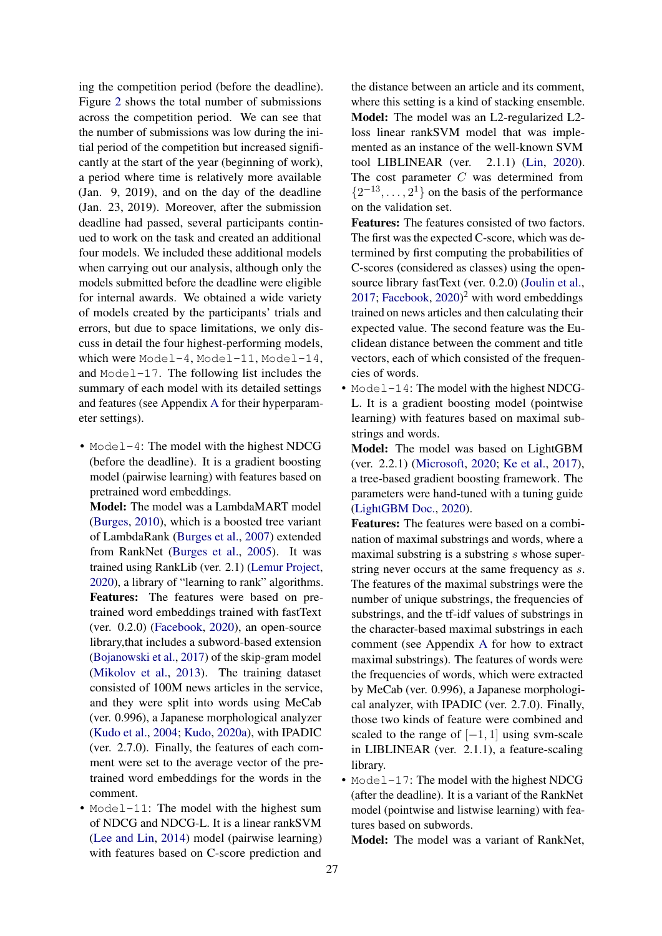ing the competition period (before the deadline). Figure [2](#page-2-1) shows the total number of submissions across the competition period. We can see that the number of submissions was low during the initial period of the competition but increased significantly at the start of the year (beginning of work), a period where time is relatively more available (Jan. 9, 2019), and on the day of the deadline (Jan. 23, 2019). Moreover, after the submission deadline had passed, several participants continued to work on the task and created an additional four models. We included these additional models when carrying out our analysis, although only the models submitted before the deadline were eligible for internal awards. We obtained a wide variety of models created by the participants' trials and errors, but due to space limitations, we only discuss in detail the four highest-performing models, which were Model-4, Model-11, Model-14, and Model-17. The following list includes the summary of each model with its detailed settings and features (see Appendix [A](#page-10-3) for their hyperparameter settings).

• Model-4: The model with the highest NDCG (before the deadline). It is a gradient boosting model (pairwise learning) with features based on pretrained word embeddings.

Model: The model was a LambdaMART model [\(Burges,](#page-8-7) [2010\)](#page-8-7), which is a boosted tree variant of LambdaRank [\(Burges et al.,](#page-8-8) [2007\)](#page-8-8) extended from RankNet [\(Burges et al.,](#page-8-5) [2005\)](#page-8-5). It was trained using RankLib (ver. 2.1) [\(Lemur Project,](#page-9-5) [2020\)](#page-9-5), a library of "learning to rank" algorithms. Features: The features were based on pretrained word embeddings trained with fastText (ver. 0.2.0) [\(Facebook,](#page-8-9) [2020\)](#page-8-9), an open-source library,that includes a subword-based extension [\(Bojanowski et al.,](#page-8-10) [2017\)](#page-8-10) of the skip-gram model [\(Mikolov et al.,](#page-10-4) [2013\)](#page-10-4). The training dataset consisted of 100M news articles in the service, and they were split into words using MeCab (ver. 0.996), a Japanese morphological analyzer [\(Kudo et al.,](#page-9-6) [2004;](#page-9-6) [Kudo,](#page-9-7) [2020a\)](#page-9-7), with IPADIC (ver. 2.7.0). Finally, the features of each comment were set to the average vector of the pretrained word embeddings for the words in the comment.

• Model-11: The model with the highest sum of NDCG and NDCG-L. It is a linear rankSVM [\(Lee and Lin,](#page-9-8) [2014\)](#page-9-8) model (pairwise learning) with features based on C-score prediction and

the distance between an article and its comment, where this setting is a kind of stacking ensemble. Model: The model was an L2-regularized L2 loss linear rankSVM model that was implemented as an instance of the well-known SVM tool LIBLINEAR (ver. 2.1.1) [\(Lin,](#page-10-5) [2020\)](#page-10-5). The cost parameter C was determined from  $\{2^{-13}, \ldots, 2^{1}\}$  on the basis of the performance on the validation set.

Features: The features consisted of two factors. The first was the expected C-score, which was determined by first computing the probabilities of C-scores (considered as classes) using the opensource library fastText (ver. 0.2.0) [\(Joulin et al.,](#page-9-9) [2017;](#page-9-9) [Facebook,](#page-8-9)  $2020$ <sup>2</sup> with word embeddings trained on news articles and then calculating their expected value. The second feature was the Euclidean distance between the comment and title vectors, each of which consisted of the frequencies of words.

- Model-14: The model with the highest NDCG-L. It is a gradient boosting model (pointwise learning) with features based on maximal substrings and words.
	- Model: The model was based on LightGBM (ver. 2.2.1) [\(Microsoft,](#page-10-6) [2020;](#page-10-6) [Ke et al.,](#page-9-10) [2017\)](#page-9-10), a tree-based gradient boosting framework. The parameters were hand-tuned with a tuning guide [\(LightGBM Doc.,](#page-10-7) [2020\)](#page-10-7).
	- Features: The features were based on a combination of maximal substrings and words, where a maximal substring is a substring s whose superstring never occurs at the same frequency as s. The features of the maximal substrings were the number of unique substrings, the frequencies of substrings, and the tf-idf values of substrings in the character-based maximal substrings in each comment (see Appendix [A](#page-10-3) for how to extract maximal substrings). The features of words were the frequencies of words, which were extracted by MeCab (ver. 0.996), a Japanese morphological analyzer, with IPADIC (ver. 2.7.0). Finally, those two kinds of feature were combined and scaled to the range of  $[-1, 1]$  using svm-scale in LIBLINEAR (ver. 2.1.1), a feature-scaling library.
- Model-17: The model with the highest NDCG (after the deadline). It is a variant of the RankNet model (pointwise and listwise learning) with features based on subwords.

Model: The model was a variant of RankNet,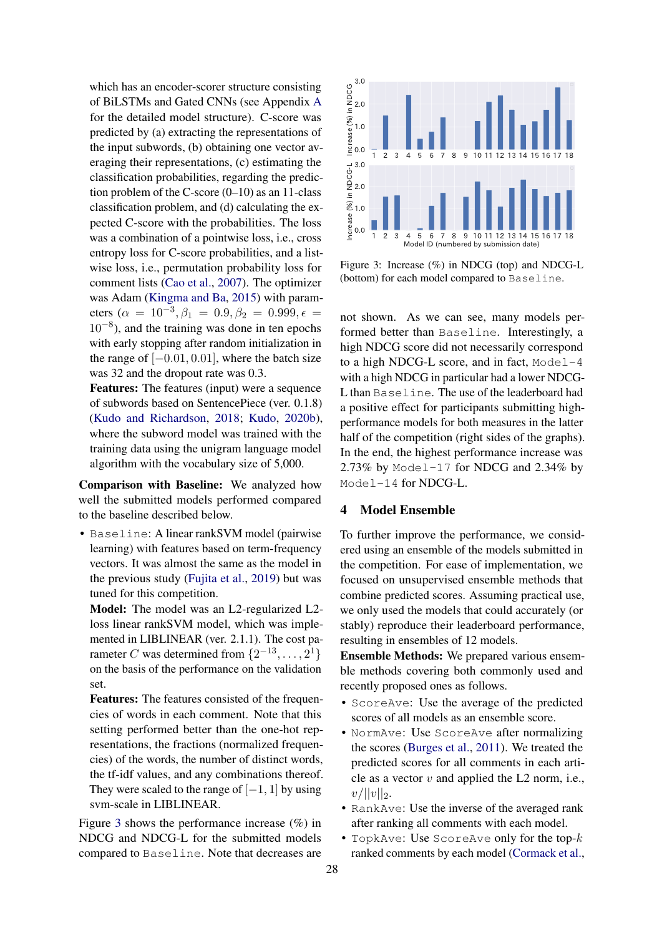which has an encoder-scorer structure consisting of BiLSTMs and Gated CNNs (see Appendix [A](#page-10-3) for the detailed model structure). C-score was predicted by (a) extracting the representations of the input subwords, (b) obtaining one vector averaging their representations, (c) estimating the classification probabilities, regarding the prediction problem of the C-score  $(0-10)$  as an 11-class classification problem, and (d) calculating the expected C-score with the probabilities. The loss was a combination of a pointwise loss, i.e., cross entropy loss for C-score probabilities, and a listwise loss, i.e., permutation probability loss for comment lists [\(Cao et al.,](#page-8-11) [2007\)](#page-8-11). The optimizer was Adam [\(Kingma and Ba,](#page-9-11) [2015\)](#page-9-11) with parameters ( $\alpha = 10^{-3}, \beta_1 = 0.9, \beta_2 = 0.999, \epsilon =$ 10−<sup>8</sup> ), and the training was done in ten epochs with early stopping after random initialization in the range of  $[-0.01, 0.01]$ , where the batch size was 32 and the dropout rate was 0.3.

Features: The features (input) were a sequence of subwords based on SentencePiece (ver. 0.1.8) [\(Kudo and Richardson,](#page-9-12) [2018;](#page-9-12) [Kudo,](#page-9-13) [2020b\)](#page-9-13), where the subword model was trained with the training data using the unigram language model algorithm with the vocabulary size of 5,000.

Comparison with Baseline: We analyzed how well the submitted models performed compared to the baseline described below.

• Baseline: A linear rankSVM model (pairwise learning) with features based on term-frequency vectors. It was almost the same as the model in the previous study [\(Fujita et al.,](#page-9-1) [2019\)](#page-9-1) but was tuned for this competition.

Model: The model was an L2-regularized L2 loss linear rankSVM model, which was implemented in LIBLINEAR (ver. 2.1.1). The cost parameter C was determined from  $\{2^{-13}, \ldots, 2^1\}$ on the basis of the performance on the validation set.

Features: The features consisted of the frequencies of words in each comment. Note that this setting performed better than the one-hot representations, the fractions (normalized frequencies) of the words, the number of distinct words, the tf-idf values, and any combinations thereof. They were scaled to the range of  $[-1, 1]$  by using svm-scale in LIBLINEAR.

Figure [3](#page-4-1) shows the performance increase  $(\% )$  in NDCG and NDCG-L for the submitted models compared to Baseline. Note that decreases are

<span id="page-4-1"></span>

Figure 3: Increase (%) in NDCG (top) and NDCG-L (bottom) for each model compared to Baseline.

not shown. As we can see, many models performed better than Baseline. Interestingly, a high NDCG score did not necessarily correspond to a high NDCG-L score, and in fact, Model-4 with a high NDCG in particular had a lower NDCG-L than Baseline. The use of the leaderboard had a positive effect for participants submitting highperformance models for both measures in the latter half of the competition (right sides of the graphs). In the end, the highest performance increase was 2.73% by Model-17 for NDCG and 2.34% by Model-14 for NDCG-L.

# <span id="page-4-0"></span>4 Model Ensemble

To further improve the performance, we considered using an ensemble of the models submitted in the competition. For ease of implementation, we focused on unsupervised ensemble methods that combine predicted scores. Assuming practical use, we only used the models that could accurately (or stably) reproduce their leaderboard performance, resulting in ensembles of 12 models.

Ensemble Methods: We prepared various ensemble methods covering both commonly used and recently proposed ones as follows.

- ScoreAve: Use the average of the predicted scores of all models as an ensemble score.
- NormAve: Use ScoreAve after normalizing the scores [\(Burges et al.,](#page-8-12) [2011\)](#page-8-12). We treated the predicted scores for all comments in each article as a vector  $v$  and applied the L2 norm, i.e.,  $v/||v||_2.$
- RankAve: Use the inverse of the averaged rank after ranking all comments with each model.
- TopkAve: Use ScoreAve only for the top- $k$ ranked comments by each model [\(Cormack et al.,](#page-8-13)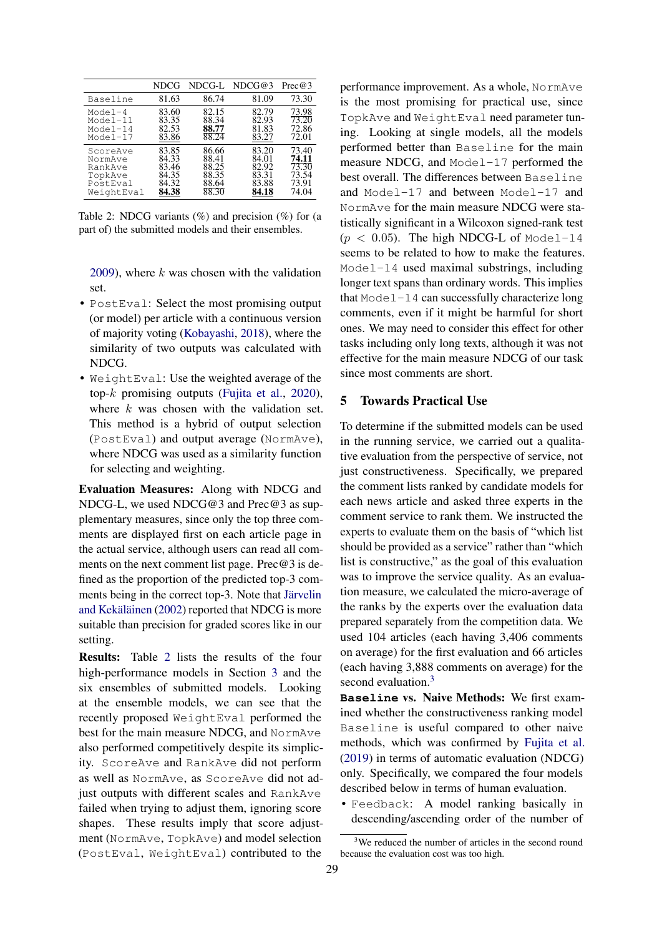<span id="page-5-1"></span>

|            | NDCG  | NDCG-L | NDCG@3 | Prec@3 |
|------------|-------|--------|--------|--------|
| Baseline   | 81.63 | 86.74  | 81.09  | 73.30  |
| $Model-4$  | 83.60 | 82.15  | 82.79  | 73.98  |
| Model-11   | 83.35 | 88.34  | 82.93  | 73.20  |
| Model-14   | 82.53 | 88.77  | 81.83  | 72.86  |
| Model-17   | 83.86 | 88.24  | 83.27  | 72.01  |
| ScoreAve   | 83.85 | 86.66  | 83.20  | 73.40  |
| NormAve    | 84.33 | 88.41  | 84.01  | 74.11  |
| RankAve    | 83.46 | 88.25  | 82.92  | 73.30  |
| TopkAve    | 84.35 | 88.35  | 83.31  | 73.54  |
| PostEval   | 84.32 | 88.64  | 83.88  | 73.91  |
| WeightEval | 84.38 | 88.30  | 84.18  | 74.04  |

Table 2: NDCG variants  $(\%)$  and precision  $(\%)$  for (a part of) the submitted models and their ensembles.

[2009\)](#page-8-13), where  $k$  was chosen with the validation set.

- PostEval: Select the most promising output (or model) per article with a continuous version of majority voting [\(Kobayashi,](#page-9-14) [2018\)](#page-9-14), where the similarity of two outputs was calculated with NDCG.
- WeightEval: Use the weighted average of the top-k promising outputs [\(Fujita et al.,](#page-9-15) [2020\)](#page-9-15), where  $k$  was chosen with the validation set. This method is a hybrid of output selection (PostEval) and output average (NormAve), where NDCG was used as a similarity function for selecting and weighting.

Evaluation Measures: Along with NDCG and NDCG-L, we used NDCG@3 and Prec@3 as supplementary measures, since only the top three comments are displayed first on each article page in the actual service, although users can read all comments on the next comment list page. Prec@3 is defined as the proportion of the predicted top-3 comments being in the correct top-3. Note that [Järvelin](#page-9-16) [and Kekäläinen](#page-9-16) [\(2002\)](#page-9-16) reported that NDCG is more suitable than precision for graded scores like in our setting.

Results: Table [2](#page-5-1) lists the results of the four high-performance models in Section [3](#page-2-0) and the six ensembles of submitted models. Looking at the ensemble models, we can see that the recently proposed WeightEval performed the best for the main measure NDCG, and NormAve also performed competitively despite its simplicity. ScoreAve and RankAve did not perform as well as NormAve, as ScoreAve did not adjust outputs with different scales and RankAve failed when trying to adjust them, ignoring score shapes. These results imply that score adjustment (NormAve, TopkAve) and model selection (PostEval, WeightEval) contributed to the

performance improvement. As a whole, NormAve is the most promising for practical use, since TopkAve and WeightEval need parameter tuning. Looking at single models, all the models performed better than Baseline for the main measure NDCG, and Model-17 performed the best overall. The differences between Baseline and Model-17 and between Model-17 and NormAve for the main measure NDCG were statistically significant in a Wilcoxon signed-rank test  $(p < 0.05)$ . The high NDCG-L of Model-14 seems to be related to how to make the features. Model-14 used maximal substrings, including longer text spans than ordinary words. This implies that Model-14 can successfully characterize long comments, even if it might be harmful for short ones. We may need to consider this effect for other tasks including only long texts, although it was not effective for the main measure NDCG of our task since most comments are short.

# <span id="page-5-0"></span>5 Towards Practical Use

To determine if the submitted models can be used in the running service, we carried out a qualitative evaluation from the perspective of service, not just constructiveness. Specifically, we prepared the comment lists ranked by candidate models for each news article and asked three experts in the comment service to rank them. We instructed the experts to evaluate them on the basis of "which list should be provided as a service" rather than "which list is constructive," as the goal of this evaluation was to improve the service quality. As an evaluation measure, we calculated the micro-average of the ranks by the experts over the evaluation data prepared separately from the competition data. We used 104 articles (each having 3,406 comments on average) for the first evaluation and 66 articles (each having 3,888 comments on average) for the second evaluation.<sup>[3](#page-5-2)</sup>

**Baseline** vs. Naive Methods: We first examined whether the constructiveness ranking model Baseline is useful compared to other naive methods, which was confirmed by [Fujita et al.](#page-9-1) [\(2019\)](#page-9-1) in terms of automatic evaluation (NDCG) only. Specifically, we compared the four models described below in terms of human evaluation.

• Feedback: A model ranking basically in descending/ascending order of the number of

<span id="page-5-2"></span><sup>&</sup>lt;sup>3</sup>We reduced the number of articles in the second round because the evaluation cost was too high.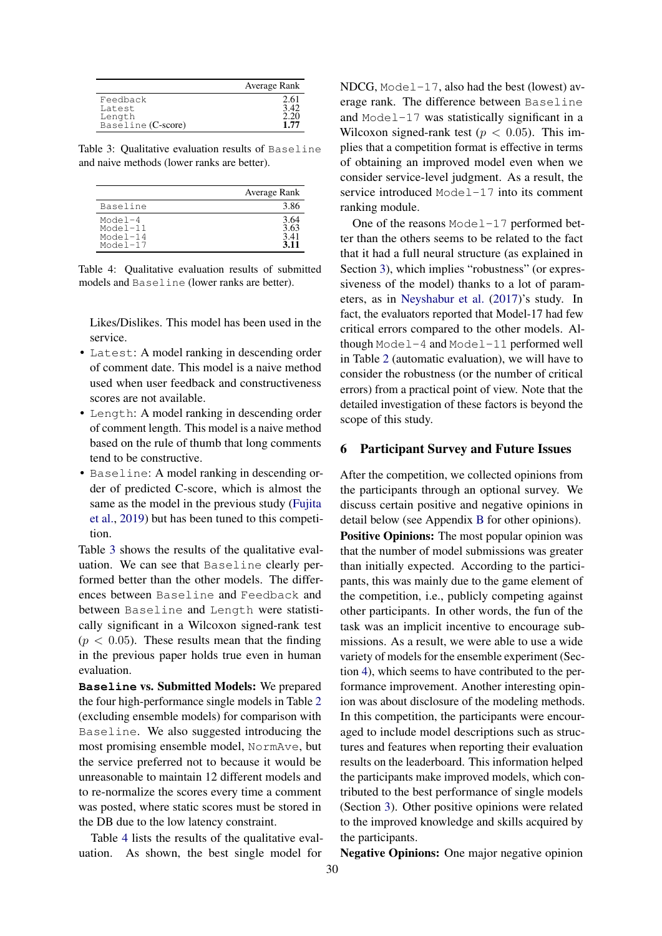<span id="page-6-1"></span>

|                                                    | Average Rank         |
|----------------------------------------------------|----------------------|
| Feedback<br>Latest<br>Length<br>Baseline (C-score) | 2.61<br>2.20<br>1.77 |

Table 3: Qualitative evaluation results of Baseline and naive methods (lower ranks are better).

<span id="page-6-2"></span>

|                                                      | Average Rank                  |
|------------------------------------------------------|-------------------------------|
| Baseline                                             | 3.86                          |
| Model $-4$<br>$Model-11$<br>$Model-14$<br>$Model-17$ | 3.64<br>3.63<br>3.41<br>3 1 1 |

Table 4: Qualitative evaluation results of submitted models and Baseline (lower ranks are better).

Likes/Dislikes. This model has been used in the service.

- Latest: A model ranking in descending order of comment date. This model is a naive method used when user feedback and constructiveness scores are not available.
- Length: A model ranking in descending order of comment length. This model is a naive method based on the rule of thumb that long comments tend to be constructive.
- Baseline: A model ranking in descending order of predicted C-score, which is almost the same as the model in the previous study [\(Fujita](#page-9-1) [et al.,](#page-9-1) [2019\)](#page-9-1) but has been tuned to this competition.

Table [3](#page-6-1) shows the results of the qualitative evaluation. We can see that Baseline clearly performed better than the other models. The differences between Baseline and Feedback and between Baseline and Length were statistically significant in a Wilcoxon signed-rank test  $(p < 0.05)$ . These results mean that the finding in the previous paper holds true even in human evaluation.

**Baseline** vs. Submitted Models: We prepared the four high-performance single models in Table [2](#page-5-1) (excluding ensemble models) for comparison with Baseline. We also suggested introducing the most promising ensemble model, NormAve, but the service preferred not to because it would be unreasonable to maintain 12 different models and to re-normalize the scores every time a comment was posted, where static scores must be stored in the DB due to the low latency constraint.

Table [4](#page-6-2) lists the results of the qualitative evaluation. As shown, the best single model for

NDCG, Model-17, also had the best (lowest) average rank. The difference between Baseline and Model-17 was statistically significant in a Wilcoxon signed-rank test ( $p < 0.05$ ). This implies that a competition format is effective in terms of obtaining an improved model even when we consider service-level judgment. As a result, the service introduced Model-17 into its comment ranking module.

One of the reasons Model-17 performed better than the others seems to be related to the fact that it had a full neural structure (as explained in Section [3\)](#page-2-0), which implies "robustness" (or expressiveness of the model) thanks to a lot of parameters, as in [Neyshabur et al.](#page-10-8) [\(2017\)](#page-10-8)'s study. In fact, the evaluators reported that Model-17 had few critical errors compared to the other models. Although Model-4 and Model-11 performed well in Table [2](#page-5-1) (automatic evaluation), we will have to consider the robustness (or the number of critical errors) from a practical point of view. Note that the detailed investigation of these factors is beyond the scope of this study.

#### <span id="page-6-0"></span>6 Participant Survey and Future Issues

After the competition, we collected opinions from the participants through an optional survey. We discuss certain positive and negative opinions in detail below (see Appendix [B](#page-11-1) for other opinions). Positive Opinions: The most popular opinion was that the number of model submissions was greater than initially expected. According to the participants, this was mainly due to the game element of the competition, i.e., publicly competing against other participants. In other words, the fun of the task was an implicit incentive to encourage submissions. As a result, we were able to use a wide variety of models for the ensemble experiment (Section [4\)](#page-4-0), which seems to have contributed to the performance improvement. Another interesting opinion was about disclosure of the modeling methods. In this competition, the participants were encouraged to include model descriptions such as structures and features when reporting their evaluation results on the leaderboard. This information helped the participants make improved models, which contributed to the best performance of single models (Section [3\)](#page-2-0). Other positive opinions were related to the improved knowledge and skills acquired by the participants.

Negative Opinions: One major negative opinion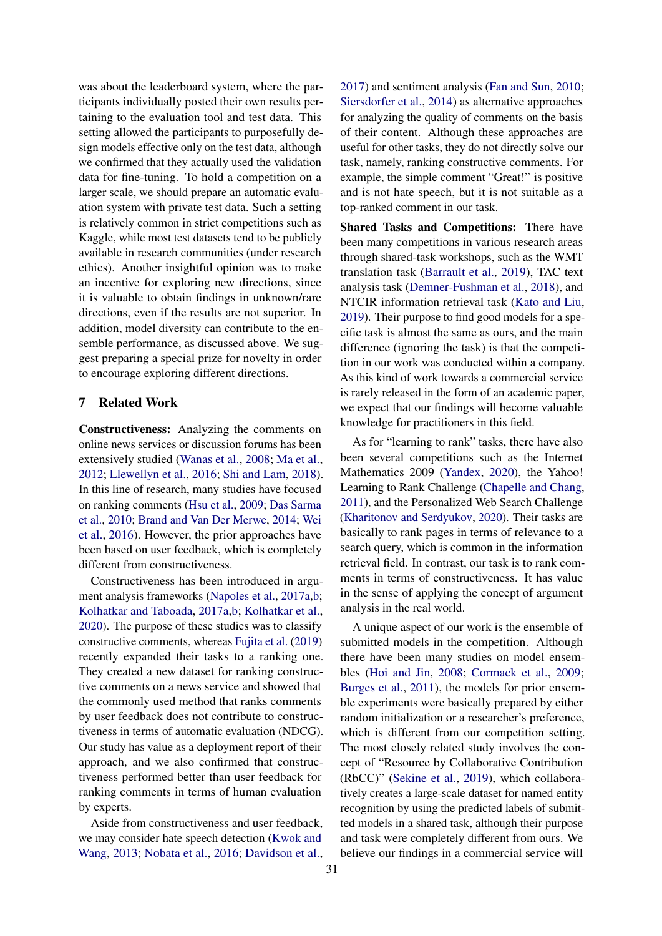was about the leaderboard system, where the participants individually posted their own results pertaining to the evaluation tool and test data. This setting allowed the participants to purposefully design models effective only on the test data, although we confirmed that they actually used the validation data for fine-tuning. To hold a competition on a larger scale, we should prepare an automatic evaluation system with private test data. Such a setting is relatively common in strict competitions such as Kaggle, while most test datasets tend to be publicly available in research communities (under research ethics). Another insightful opinion was to make an incentive for exploring new directions, since it is valuable to obtain findings in unknown/rare directions, even if the results are not superior. In addition, model diversity can contribute to the ensemble performance, as discussed above. We suggest preparing a special prize for novelty in order to encourage exploring different directions.

#### <span id="page-7-0"></span>7 Related Work

Constructiveness: Analyzing the comments on online news services or discussion forums has been extensively studied [\(Wanas et al.,](#page-10-9) [2008;](#page-10-9) [Ma et al.,](#page-10-10) [2012;](#page-10-10) [Llewellyn et al.,](#page-10-11) [2016;](#page-10-11) [Shi and Lam,](#page-10-12) [2018\)](#page-10-12). In this line of research, many studies have focused on ranking comments [\(Hsu et al.,](#page-9-0) [2009;](#page-9-0) [Das Sarma](#page-8-0) [et al.,](#page-8-0) [2010;](#page-8-0) [Brand and Van Der Merwe,](#page-8-1) [2014;](#page-8-1) [Wei](#page-10-0) [et al.,](#page-10-0) [2016\)](#page-10-0). However, the prior approaches have been based on user feedback, which is completely different from constructiveness.

Constructiveness has been introduced in argument analysis frameworks [\(Napoles et al.,](#page-10-1) [2017a,](#page-10-1)[b;](#page-10-13) [Kolhatkar and Taboada,](#page-9-2) [2017a](#page-9-2)[,b;](#page-9-17) [Kolhatkar et al.,](#page-9-18) [2020\)](#page-9-18). The purpose of these studies was to classify constructive comments, whereas [Fujita et al.](#page-9-1) [\(2019\)](#page-9-1) recently expanded their tasks to a ranking one. They created a new dataset for ranking constructive comments on a news service and showed that the commonly used method that ranks comments by user feedback does not contribute to constructiveness in terms of automatic evaluation (NDCG). Our study has value as a deployment report of their approach, and we also confirmed that constructiveness performed better than user feedback for ranking comments in terms of human evaluation by experts.

Aside from constructiveness and user feedback, we may consider hate speech detection [\(Kwok and](#page-9-19) [Wang,](#page-9-19) [2013;](#page-9-19) [Nobata et al.,](#page-10-14) [2016;](#page-10-14) [Davidson et al.,](#page-8-14) [2017\)](#page-8-14) and sentiment analysis [\(Fan and Sun,](#page-8-15) [2010;](#page-8-15) [Siersdorfer et al.,](#page-10-15) [2014\)](#page-10-15) as alternative approaches for analyzing the quality of comments on the basis of their content. Although these approaches are useful for other tasks, they do not directly solve our task, namely, ranking constructive comments. For example, the simple comment "Great!" is positive and is not hate speech, but it is not suitable as a top-ranked comment in our task.

Shared Tasks and Competitions: There have been many competitions in various research areas through shared-task workshops, such as the WMT translation task [\(Barrault et al.,](#page-8-3) [2019\)](#page-8-3), TAC text analysis task [\(Demner-Fushman et al.,](#page-8-4) [2018\)](#page-8-4), and NTCIR information retrieval task [\(Kato and Liu,](#page-9-4) [2019\)](#page-9-4). Their purpose to find good models for a specific task is almost the same as ours, and the main difference (ignoring the task) is that the competition in our work was conducted within a company. As this kind of work towards a commercial service is rarely released in the form of an academic paper, we expect that our findings will become valuable knowledge for practitioners in this field.

As for "learning to rank" tasks, there have also been several competitions such as the Internet Mathematics 2009 [\(Yandex,](#page-10-16) [2020\)](#page-10-16), the Yahoo! Learning to Rank Challenge [\(Chapelle and Chang,](#page-8-6) [2011\)](#page-8-6), and the Personalized Web Search Challenge [\(Kharitonov and Serdyukov,](#page-9-20) [2020\)](#page-9-20). Their tasks are basically to rank pages in terms of relevance to a search query, which is common in the information retrieval field. In contrast, our task is to rank comments in terms of constructiveness. It has value in the sense of applying the concept of argument analysis in the real world.

A unique aspect of our work is the ensemble of submitted models in the competition. Although there have been many studies on model ensembles [\(Hoi and Jin,](#page-9-21) [2008;](#page-9-21) [Cormack et al.,](#page-8-13) [2009;](#page-8-13) [Burges et al.,](#page-8-12) [2011\)](#page-8-12), the models for prior ensemble experiments were basically prepared by either random initialization or a researcher's preference, which is different from our competition setting. The most closely related study involves the concept of "Resource by Collaborative Contribution (RbCC)" [\(Sekine et al.,](#page-10-17) [2019\)](#page-10-17), which collaboratively creates a large-scale dataset for named entity recognition by using the predicted labels of submitted models in a shared task, although their purpose and task were completely different from ours. We believe our findings in a commercial service will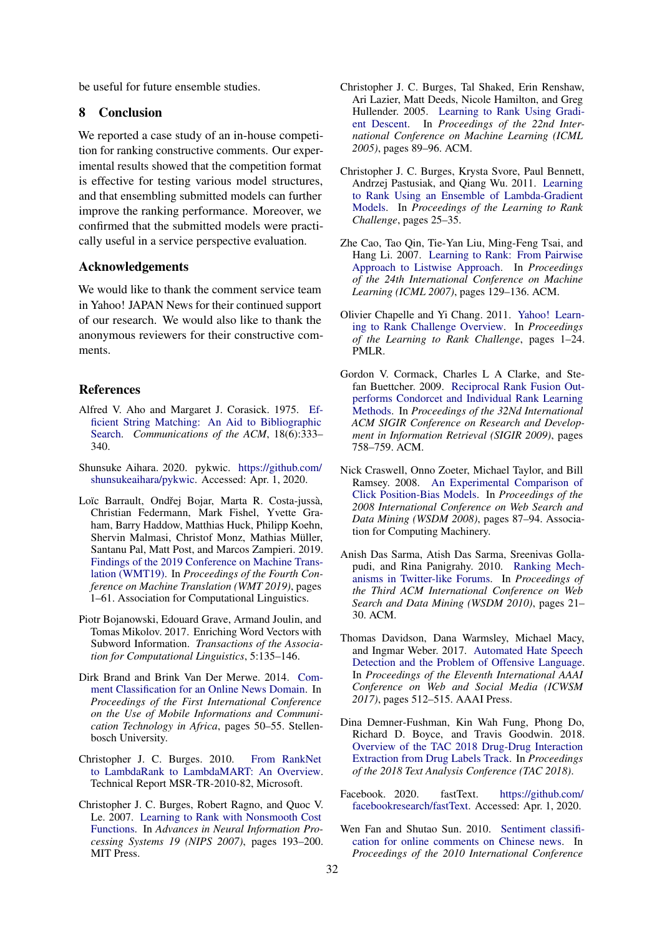be useful for future ensemble studies.

#### 8 Conclusion

We reported a case study of an in-house competition for ranking constructive comments. Our experimental results showed that the competition format is effective for testing various model structures, and that ensembling submitted models can further improve the ranking performance. Moreover, we confirmed that the submitted models were practically useful in a service perspective evaluation.

#### Acknowledgements

We would like to thank the comment service team in Yahoo! JAPAN News for their continued support of our research. We would also like to thank the anonymous reviewers for their constructive comments.

#### References

- <span id="page-8-17"></span>Alfred V. Aho and Margaret J. Corasick. 1975. [Ef](http://doi.acm.org/10.1145/360825.360855)[ficient String Matching: An Aid to Bibliographic](http://doi.acm.org/10.1145/360825.360855) [Search.](http://doi.acm.org/10.1145/360825.360855) *Communications of the ACM*, 18(6):333– 340.
- <span id="page-8-16"></span>Shunsuke Aihara. 2020. pykwic. [https://github.com/](https://github.com/shunsukeaihara/pykwic) [shunsukeaihara/pykwic.](https://github.com/shunsukeaihara/pykwic) Accessed: Apr. 1, 2020.
- <span id="page-8-3"></span>Loïc Barrault, Ondřej Bojar, Marta R. Costa-jussà, Christian Federmann, Mark Fishel, Yvette Graham, Barry Haddow, Matthias Huck, Philipp Koehn, Shervin Malmasi, Christof Monz, Mathias Müller, Santanu Pal, Matt Post, and Marcos Zampieri. 2019. [Findings of the 2019 Conference on Machine Trans](https://www.aclweb.org/anthology/W19-5301)[lation \(WMT19\).](https://www.aclweb.org/anthology/W19-5301) In *Proceedings of the Fourth Conference on Machine Translation (WMT 2019)*, pages 1–61. Association for Computational Linguistics.
- <span id="page-8-10"></span>Piotr Bojanowski, Edouard Grave, Armand Joulin, and Tomas Mikolov. 2017. Enriching Word Vectors with Subword Information. *Transactions of the Association for Computational Linguistics*, 5:135–146.
- <span id="page-8-1"></span>Dirk Brand and Brink Van Der Merwe. 2014. [Com](https://scholar.sun.ac.za/handle/10019.1/95703)[ment Classification for an Online News Domain.](https://scholar.sun.ac.za/handle/10019.1/95703) In *Proceedings of the First International Conference on the Use of Mobile Informations and Communication Technology in Africa*, pages 50–55. Stellenbosch University.
- <span id="page-8-7"></span>Christopher J. C. Burges. 2010. [From RankNet](https://www.microsoft.com/en-us/research/publication/from-ranknet-to-lambdarank-to-lambdamart-an-overview/) [to LambdaRank to LambdaMART: An Overview.](https://www.microsoft.com/en-us/research/publication/from-ranknet-to-lambdarank-to-lambdamart-an-overview/) Technical Report MSR-TR-2010-82, Microsoft.
- <span id="page-8-8"></span>Christopher J. C. Burges, Robert Ragno, and Quoc V. Le. 2007. [Learning to Rank with Nonsmooth Cost](http://papers.nips.cc/paper/2971-learning-to-rank-with-nonsmooth-cost-functions.pdf) [Functions.](http://papers.nips.cc/paper/2971-learning-to-rank-with-nonsmooth-cost-functions.pdf) In *Advances in Neural Information Processing Systems 19 (NIPS 2007)*, pages 193–200. MIT Press.
- <span id="page-8-5"></span>Christopher J. C. Burges, Tal Shaked, Erin Renshaw, Ari Lazier, Matt Deeds, Nicole Hamilton, and Greg Hullender. 2005. [Learning to Rank Using Gradi](http://doi.org/10.1145/1102351.1102363)[ent Descent.](http://doi.org/10.1145/1102351.1102363) In *Proceedings of the 22nd International Conference on Machine Learning (ICML 2005)*, pages 89–96. ACM.
- <span id="page-8-12"></span>Christopher J. C. Burges, Krysta Svore, Paul Bennett, Andrzej Pastusiak, and Qiang Wu. 2011. [Learning](http://proceedings.mlr.press/v14/burges11a/burges11a.pdf) [to Rank Using an Ensemble of Lambda-Gradient](http://proceedings.mlr.press/v14/burges11a/burges11a.pdf) [Models.](http://proceedings.mlr.press/v14/burges11a/burges11a.pdf) In *Proceedings of the Learning to Rank Challenge*, pages 25–35.
- <span id="page-8-11"></span>Zhe Cao, Tao Qin, Tie-Yan Liu, Ming-Feng Tsai, and Hang Li. 2007. [Learning to Rank: From Pairwise](http://doi.acm.org/10.1145/1273496.1273513) [Approach to Listwise Approach.](http://doi.acm.org/10.1145/1273496.1273513) In *Proceedings of the 24th International Conference on Machine Learning (ICML 2007)*, pages 129–136. ACM.
- <span id="page-8-6"></span>Olivier Chapelle and Yi Chang. 2011. [Yahoo! Learn](http://proceedings.mlr.press/v14/chapelle11a.html)[ing to Rank Challenge Overview.](http://proceedings.mlr.press/v14/chapelle11a.html) In *Proceedings of the Learning to Rank Challenge*, pages 1–24. PMLR.
- <span id="page-8-13"></span>Gordon V. Cormack, Charles L A Clarke, and Stefan Buettcher. 2009. [Reciprocal Rank Fusion Out](http://doi.acm.org/10.1145/1571941.1572114)[performs Condorcet and Individual Rank Learning](http://doi.acm.org/10.1145/1571941.1572114) [Methods.](http://doi.acm.org/10.1145/1571941.1572114) In *Proceedings of the 32Nd International ACM SIGIR Conference on Research and Development in Information Retrieval (SIGIR 2009)*, pages 758–759. ACM.
- <span id="page-8-2"></span>Nick Craswell, Onno Zoeter, Michael Taylor, and Bill Ramsey. 2008. [An Experimental Comparison of](https://doi.org/10.1145/1341531.1341545) [Click Position-Bias Models.](https://doi.org/10.1145/1341531.1341545) In *Proceedings of the 2008 International Conference on Web Search and Data Mining (WSDM 2008)*, pages 87–94. Association for Computing Machinery.
- <span id="page-8-0"></span>Anish Das Sarma, Atish Das Sarma, Sreenivas Gollapudi, and Rina Panigrahy. 2010. [Ranking Mech](http://doi.org/10.1145/1718487.1718491)[anisms in Twitter-like Forums.](http://doi.org/10.1145/1718487.1718491) In *Proceedings of the Third ACM International Conference on Web Search and Data Mining (WSDM 2010)*, pages 21– 30. ACM.
- <span id="page-8-14"></span>Thomas Davidson, Dana Warmsley, Michael Macy, and Ingmar Weber. 2017. [Automated Hate Speech](https://aaai.org/ocs/index.php/ICWSM/ICWSM17/paper/view/15665) [Detection and the Problem of Offensive Language.](https://aaai.org/ocs/index.php/ICWSM/ICWSM17/paper/view/15665) In *Proceedings of the Eleventh International AAAI Conference on Web and Social Media (ICWSM 2017)*, pages 512–515. AAAI Press.
- <span id="page-8-4"></span>Dina Demner-Fushman, Kin Wah Fung, Phong Do, Richard D. Boyce, and Travis Goodwin. 2018. [Overview of the TAC 2018 Drug-Drug Interaction](https://tac.nist.gov/publications/2018/additional.papers/TAC2018.DDI.overview.proceedings.pdf) [Extraction from Drug Labels Track.](https://tac.nist.gov/publications/2018/additional.papers/TAC2018.DDI.overview.proceedings.pdf) In *Proceedings of the 2018 Text Analysis Conference (TAC 2018)*.
- <span id="page-8-9"></span>Facebook. 2020. fastText. [https://github.com/](https://github.com/facebookresearch/fastText) [facebookresearch/fastText.](https://github.com/facebookresearch/fastText) Accessed: Apr. 1, 2020.
- <span id="page-8-15"></span>Wen Fan and Shutao Sun. 2010. [Sentiment classifi](https://doi.org/10.1109/ICCASM.2010.5619288)[cation for online comments on Chinese news.](https://doi.org/10.1109/ICCASM.2010.5619288) In *Proceedings of the 2010 International Conference*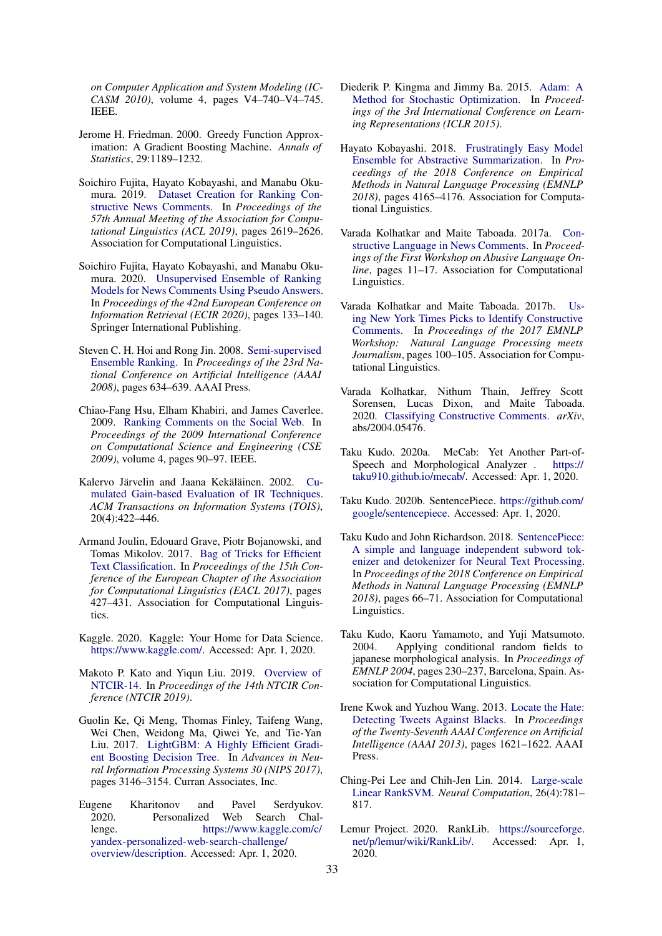*on Computer Application and System Modeling (IC-CASM 2010)*, volume 4, pages V4–740–V4–745. IEEE.

- <span id="page-9-22"></span>Jerome H. Friedman. 2000. Greedy Function Approximation: A Gradient Boosting Machine. *Annals of Statistics*, 29:1189–1232.
- <span id="page-9-1"></span>Soichiro Fujita, Hayato Kobayashi, and Manabu Okumura. 2019. [Dataset Creation for Ranking Con](https://www.aclweb.org/anthology/P19-1250)[structive News Comments.](https://www.aclweb.org/anthology/P19-1250) In *Proceedings of the 57th Annual Meeting of the Association for Computational Linguistics (ACL 2019)*, pages 2619–2626. Association for Computational Linguistics.
- <span id="page-9-15"></span>Soichiro Fujita, Hayato Kobayashi, and Manabu Okumura. 2020. [Unsupervised Ensemble of Ranking](https://link.springer.com/chapter/10.1007/978-3-030-45442-5_17) [Models for News Comments Using Pseudo Answers.](https://link.springer.com/chapter/10.1007/978-3-030-45442-5_17) In *Proceedings of the 42nd European Conference on Information Retrieval (ECIR 2020)*, pages 133–140. Springer International Publishing.
- <span id="page-9-21"></span>Steven C. H. Hoi and Rong Jin. 2008. [Semi-supervised](http://dl.acm.org/citation.cfm?id=1620163.1620170) [Ensemble Ranking.](http://dl.acm.org/citation.cfm?id=1620163.1620170) In *Proceedings of the 23rd National Conference on Artificial Intelligence (AAAI 2008)*, pages 634–639. AAAI Press.
- <span id="page-9-0"></span>Chiao-Fang Hsu, Elham Khabiri, and James Caverlee. 2009. [Ranking Comments on the Social Web.](https://doi.org/10.1109/CSE.2009.109) In *Proceedings of the 2009 International Conference on Computational Science and Engineering (CSE 2009)*, volume 4, pages 90–97. IEEE.
- <span id="page-9-16"></span>Kalervo Järvelin and Jaana Kekäläinen. 2002. [Cu](http://doi.org/10.1145/582415.582418)[mulated Gain-based Evaluation of IR Techniques.](http://doi.org/10.1145/582415.582418) *ACM Transactions on Information Systems (TOIS)*, 20(4):422–446.
- <span id="page-9-9"></span>Armand Joulin, Edouard Grave, Piotr Bojanowski, and Tomas Mikolov. 2017. [Bag of Tricks for Efficient](https://www.aclweb.org/anthology/E17-2068) [Text Classification.](https://www.aclweb.org/anthology/E17-2068) In *Proceedings of the 15th Conference of the European Chapter of the Association for Computational Linguistics (EACL 2017)*, pages 427–431. Association for Computational Linguistics.
- <span id="page-9-3"></span>Kaggle. 2020. Kaggle: Your Home for Data Science. [https://www.kaggle.com/.](https://www.kaggle.com/) Accessed: Apr. 1, 2020.
- <span id="page-9-4"></span>Makoto P. Kato and Yiqun Liu. 2019. [Overview of](http://research.nii.ac.jp/ntcir/workshop/OnlineProceedings14/pdf/ntcir/01-NTCIR14-OV-KatoM.pdf) [NTCIR-14.](http://research.nii.ac.jp/ntcir/workshop/OnlineProceedings14/pdf/ntcir/01-NTCIR14-OV-KatoM.pdf) In *Proceedings of the 14th NTCIR Conference (NTCIR 2019)*.
- <span id="page-9-10"></span>Guolin Ke, Qi Meng, Thomas Finley, Taifeng Wang, Wei Chen, Weidong Ma, Qiwei Ye, and Tie-Yan Liu. 2017. [LightGBM: A Highly Efficient Gradi](http://papers.nips.cc/paper/6907-lightgbm-a-highly-efficient-gradient-boosting-decision-tree.pdf)[ent Boosting Decision Tree.](http://papers.nips.cc/paper/6907-lightgbm-a-highly-efficient-gradient-boosting-decision-tree.pdf) In *Advances in Neural Information Processing Systems 30 (NIPS 2017)*, pages 3146–3154. Curran Associates, Inc.
- <span id="page-9-20"></span>Eugene Kharitonov and Pavel Serdyukov. 2020. Personalized Web Search Challenge. [https://www.kaggle.com/c/](https://www.kaggle.com/c/yandex-personalized-web-search-challenge/overview/description) [yandex-personalized-web-search-challenge/](https://www.kaggle.com/c/yandex-personalized-web-search-challenge/overview/description) [overview/description.](https://www.kaggle.com/c/yandex-personalized-web-search-challenge/overview/description) Accessed: Apr. 1, 2020.
- <span id="page-9-11"></span>Diederik P. Kingma and Jimmy Ba. 2015. [Adam: A](http://arxiv.org/abs/1412.6980) [Method for Stochastic Optimization.](http://arxiv.org/abs/1412.6980) In *Proceedings of the 3rd International Conference on Learning Representations (ICLR 2015)*.
- <span id="page-9-14"></span>Hayato Kobayashi. 2018. [Frustratingly Easy Model](https://www.aclweb.org/anthology/D18-1449) [Ensemble for Abstractive Summarization.](https://www.aclweb.org/anthology/D18-1449) In *Proceedings of the 2018 Conference on Empirical Methods in Natural Language Processing (EMNLP 2018)*, pages 4165–4176. Association for Computational Linguistics.
- <span id="page-9-2"></span>Varada Kolhatkar and Maite Taboada. 2017a. [Con](http://www.aclweb.org/anthology/W17-3002)[structive Language in News Comments.](http://www.aclweb.org/anthology/W17-3002) In *Proceedings of the First Workshop on Abusive Language Online*, pages 11–17. Association for Computational Linguistics.
- <span id="page-9-17"></span>Varada Kolhatkar and Maite Taboada. 2017b. [Us](http://aclweb.org/anthology/W17-4218)[ing New York Times Picks to Identify Constructive](http://aclweb.org/anthology/W17-4218) [Comments.](http://aclweb.org/anthology/W17-4218) In *Proceedings of the 2017 EMNLP Workshop: Natural Language Processing meets Journalism*, pages 100–105. Association for Computational Linguistics.
- <span id="page-9-18"></span>Varada Kolhatkar, Nithum Thain, Jeffrey Scott Sorensen, Lucas Dixon, and Maite Taboada. 2020. [Classifying Constructive Comments.](http://arxiv.org/abs/1412.6980) *arXiv*, abs/2004.05476.
- <span id="page-9-7"></span>Taku Kudo. 2020a. MeCab: Yet Another Part-of-Speech and Morphological Analyzer . [https://](https://taku910.github.io/mecab/) [taku910.github.io/mecab/.](https://taku910.github.io/mecab/) Accessed: Apr. 1, 2020.
- <span id="page-9-13"></span>Taku Kudo. 2020b. SentencePiece. [https://github.com/](https://github.com/google/sentencepiece) [google/sentencepiece.](https://github.com/google/sentencepiece) Accessed: Apr. 1, 2020.
- <span id="page-9-12"></span>Taku Kudo and John Richardson. 2018. [SentencePiece:](https://www.aclweb.org/anthology/D18-2012) [A simple and language independent subword tok](https://www.aclweb.org/anthology/D18-2012)[enizer and detokenizer for Neural Text Processing.](https://www.aclweb.org/anthology/D18-2012) In *Proceedings of the 2018 Conference on Empirical Methods in Natural Language Processing (EMNLP 2018)*, pages 66–71. Association for Computational Linguistics.
- <span id="page-9-6"></span>Taku Kudo, Kaoru Yamamoto, and Yuji Matsumoto. 2004. Applying conditional random fields to japanese morphological analysis. In *Proceedings of EMNLP 2004*, pages 230–237, Barcelona, Spain. Association for Computational Linguistics.
- <span id="page-9-19"></span>Irene Kwok and Yuzhou Wang. 2013. [Locate the Hate:](http://dl.acm.org/citation.cfm?id=2891460.2891697) [Detecting Tweets Against Blacks.](http://dl.acm.org/citation.cfm?id=2891460.2891697) In *Proceedings of the Twenty-Seventh AAAI Conference on Artificial Intelligence (AAAI 2013)*, pages 1621–1622. AAAI Press.
- <span id="page-9-8"></span>Ching-Pei Lee and Chih-Jen Lin. 2014. [Large-scale](http://dx.doi.org/10.1162/NECO_a_00571) [Linear RankSVM.](http://dx.doi.org/10.1162/NECO_a_00571) *Neural Computation*, 26(4):781– 817.
- <span id="page-9-5"></span>Lemur Project. 2020. RankLib. [https://sourceforge.](https://sourceforge.net/p/lemur/wiki/RankLib/) [net/p/lemur/wiki/RankLib/.](https://sourceforge.net/p/lemur/wiki/RankLib/) Accessed: Apr. 1, 2020.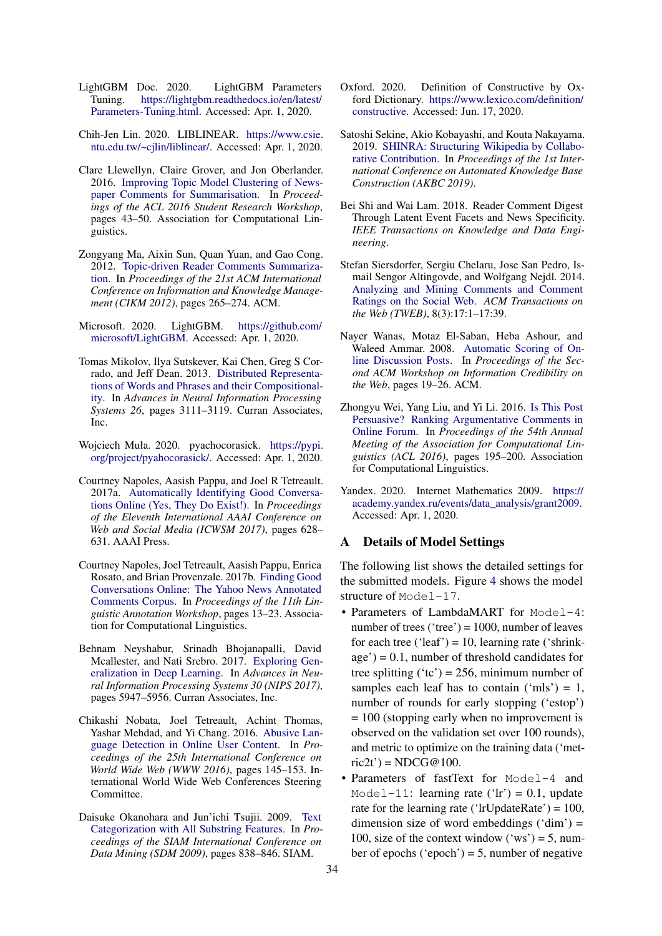- <span id="page-10-7"></span>LightGBM Doc. 2020. LightGBM Parameters Tuning. [https://lightgbm.readthedocs.io/en/latest/](https://lightgbm.readthedocs.io/en/latest/Parameters-Tuning.html) [Parameters-Tuning.html.](https://lightgbm.readthedocs.io/en/latest/Parameters-Tuning.html) Accessed: Apr. 1, 2020.
- <span id="page-10-5"></span>Chih-Jen Lin. 2020. LIBLINEAR. [https://www.csie.](https://www.csie.ntu.edu.tw/~cjlin/liblinear/) [ntu.edu.tw/~cjlin/liblinear/.](https://www.csie.ntu.edu.tw/~cjlin/liblinear/) Accessed: Apr. 1, 2020.
- <span id="page-10-11"></span>Clare Llewellyn, Claire Grover, and Jon Oberlander. 2016. [Improving Topic Model Clustering of News](http://anthology.aclweb.org/P/P16/P16-3007)[paper Comments for Summarisation.](http://anthology.aclweb.org/P/P16/P16-3007) In *Proceedings of the ACL 2016 Student Research Workshop*, pages 43–50. Association for Computational Linguistics.
- <span id="page-10-10"></span>Zongyang Ma, Aixin Sun, Quan Yuan, and Gao Cong. 2012. [Topic-driven Reader Comments Summariza](http://doi.org/10.1145/2396761.2396798)[tion.](http://doi.org/10.1145/2396761.2396798) In *Proceedings of the 21st ACM International Conference on Information and Knowledge Management (CIKM 2012)*, pages 265–274. ACM.
- <span id="page-10-6"></span>Microsoft. 2020. LightGBM. [https://github.com/](https://github.com/microsoft/LightGBM) [microsoft/LightGBM.](https://github.com/microsoft/LightGBM) Accessed: Apr. 1, 2020.
- <span id="page-10-4"></span>Tomas Mikolov, Ilya Sutskever, Kai Chen, Greg S Corrado, and Jeff Dean. 2013. [Distributed Representa](http://papers.nips.cc/paper/5021-distributed-representations-of-words-and-phrases-and-their-compositionality.pdf)[tions of Words and Phrases and their Compositional](http://papers.nips.cc/paper/5021-distributed-representations-of-words-and-phrases-and-their-compositionality.pdf)[ity.](http://papers.nips.cc/paper/5021-distributed-representations-of-words-and-phrases-and-their-compositionality.pdf) In *Advances in Neural Information Processing Systems 26*, pages 3111–3119. Curran Associates, Inc.
- <span id="page-10-19"></span>Wojciech Muła. 2020. pyachocorasick. [https://pypi.](https://pypi.org/project/pyahocorasick/) [org/project/pyahocorasick/.](https://pypi.org/project/pyahocorasick/) Accessed: Apr. 1, 2020.
- <span id="page-10-1"></span>Courtney Napoles, Aasish Pappu, and Joel R Tetreault. 2017a. [Automatically Identifying Good Conversa](https://aaai.org/ocs/index.php/ICWSM/ICWSM17/paper/view/15673)[tions Online \(Yes, They Do Exist!\).](https://aaai.org/ocs/index.php/ICWSM/ICWSM17/paper/view/15673) In *Proceedings of the Eleventh International AAAI Conference on Web and Social Media (ICWSM 2017)*, pages 628– 631. AAAI Press.
- <span id="page-10-13"></span>Courtney Napoles, Joel Tetreault, Aasish Pappu, Enrica Rosato, and Brian Provenzale. 2017b. [Finding Good](http://aclweb.org/anthology/W17-0802) [Conversations Online: The Yahoo News Annotated](http://aclweb.org/anthology/W17-0802) [Comments Corpus.](http://aclweb.org/anthology/W17-0802) In *Proceedings of the 11th Linguistic Annotation Workshop*, pages 13–23. Association for Computational Linguistics.
- <span id="page-10-8"></span>Behnam Neyshabur, Srinadh Bhojanapalli, David Mcallester, and Nati Srebro. 2017. [Exploring Gen](http://papers.nips.cc/paper/7176-exploring-generalization-in-deep-learning.pdf)[eralization in Deep Learning.](http://papers.nips.cc/paper/7176-exploring-generalization-in-deep-learning.pdf) In *Advances in Neural Information Processing Systems 30 (NIPS 2017)*, pages 5947–5956. Curran Associates, Inc.
- <span id="page-10-14"></span>Chikashi Nobata, Joel Tetreault, Achint Thomas, Yashar Mehdad, and Yi Chang. 2016. [Abusive Lan](https://doi.org/10.1145/2872427.2883062)[guage Detection in Online User Content.](https://doi.org/10.1145/2872427.2883062) In *Proceedings of the 25th International Conference on World Wide Web (WWW 2016)*, pages 145–153. International World Wide Web Conferences Steering Committee.
- <span id="page-10-18"></span>Daisuke Okanohara and Jun'ichi Tsujii. 2009. [Text](https://doi.org/10.1137/1.9781611972795.72) [Categorization with All Substring Features.](https://doi.org/10.1137/1.9781611972795.72) In *Proceedings of the SIAM International Conference on Data Mining (SDM 2009)*, pages 838–846. SIAM.
- <span id="page-10-2"></span>Oxford. 2020. Definition of Constructive by Oxford Dictionary. [https://www.lexico.com/definition/](https://www.lexico.com/definition/constructive) [constructive.](https://www.lexico.com/definition/constructive) Accessed: Jun. 17, 2020.
- <span id="page-10-17"></span>Satoshi Sekine, Akio Kobayashi, and Kouta Nakayama. 2019. [SHINRA: Structuring Wikipedia by Collabo](https://openreview.net/pdf?id=HygfXWqTpm)[rative Contribution.](https://openreview.net/pdf?id=HygfXWqTpm) In *Proceedings of the 1st International Conference on Automated Knowledge Base Construction (AKBC 2019)*.
- <span id="page-10-12"></span>Bei Shi and Wai Lam. 2018. Reader Comment Digest Through Latent Event Facets and News Specificity. *IEEE Transactions on Knowledge and Data Engineering*.
- <span id="page-10-15"></span>Stefan Siersdorfer, Sergiu Chelaru, Jose San Pedro, Ismail Sengor Altingovde, and Wolfgang Nejdl. 2014. [Analyzing and Mining Comments and Comment](http://doi.org/10.1145/2628441) [Ratings on the Social Web.](http://doi.org/10.1145/2628441) *ACM Transactions on the Web (TWEB)*, 8(3):17:1–17:39.
- <span id="page-10-9"></span>Nayer Wanas, Motaz El-Saban, Heba Ashour, and Waleed Ammar. 2008. [Automatic Scoring of On](http://doi.org/10.1145/1458527.1458534)[line Discussion Posts.](http://doi.org/10.1145/1458527.1458534) In *Proceedings of the Second ACM Workshop on Information Credibility on the Web*, pages 19–26. ACM.
- <span id="page-10-0"></span>Zhongyu Wei, Yang Liu, and Yi Li. 2016. [Is This Post](https://www.aclweb.org/anthology/P16-2032) [Persuasive? Ranking Argumentative Comments in](https://www.aclweb.org/anthology/P16-2032) [Online Forum.](https://www.aclweb.org/anthology/P16-2032) In *Proceedings of the 54th Annual Meeting of the Association for Computational Linguistics (ACL 2016)*, pages 195–200. Association for Computational Linguistics.
- <span id="page-10-16"></span>Yandex. 2020. Internet Mathematics 2009. [https://](https://academy.yandex.ru/events/data_analysis/grant2009) [academy.yandex.ru/events/data\\_analysis/grant2009.](https://academy.yandex.ru/events/data_analysis/grant2009) Accessed: Apr. 1, 2020.

#### <span id="page-10-3"></span>A Details of Model Settings

The following list shows the detailed settings for the submitted models. Figure [4](#page-11-2) shows the model structure of Model-17.

- Parameters of LambdaMART for Model-4: number of trees ('tree') =  $1000$ , number of leaves for each tree ('leaf') = 10, learning rate ('shrink $age') = 0.1$ , number of threshold candidates for tree splitting ('tc') = 256, minimum number of samples each leaf has to contain ('mls') = 1, number of rounds for early stopping ('estop') = 100 (stopping early when no improvement is observed on the validation set over 100 rounds), and metric to optimize on the training data ('met $ric2t') = NDCG@100.$
- Parameters of fastText for Model-4 and Model-11: learning rate ('lr') = 0.1, update rate for the learning rate ('lrUpdateRate') =  $100$ , dimension size of word embeddings  $('dim') =$ 100, size of the context window  $('ws') = 5$ , number of epochs ('epoch') = 5, number of negative